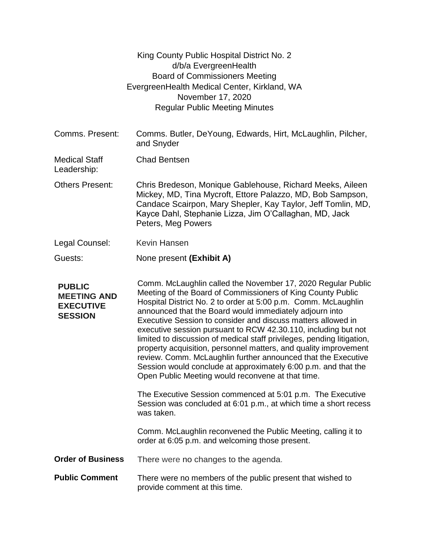|                                                                           | King County Public Hospital District No. 2<br>d/b/a EvergreenHealth<br><b>Board of Commissioners Meeting</b><br>EvergreenHealth Medical Center, Kirkland, WA<br>November 17, 2020<br><b>Regular Public Meeting Minutes</b>                                                                                                                                                                                                                                                                                                                                                                                                                                                                                                       |
|---------------------------------------------------------------------------|----------------------------------------------------------------------------------------------------------------------------------------------------------------------------------------------------------------------------------------------------------------------------------------------------------------------------------------------------------------------------------------------------------------------------------------------------------------------------------------------------------------------------------------------------------------------------------------------------------------------------------------------------------------------------------------------------------------------------------|
| Comms. Present:                                                           | Comms. Butler, DeYoung, Edwards, Hirt, McLaughlin, Pilcher,<br>and Snyder                                                                                                                                                                                                                                                                                                                                                                                                                                                                                                                                                                                                                                                        |
| <b>Medical Staff</b><br>Leadership:                                       | <b>Chad Bentsen</b>                                                                                                                                                                                                                                                                                                                                                                                                                                                                                                                                                                                                                                                                                                              |
| <b>Others Present:</b>                                                    | Chris Bredeson, Monique Gablehouse, Richard Meeks, Aileen<br>Mickey, MD, Tina Mycroft, Ettore Palazzo, MD, Bob Sampson,<br>Candace Scairpon, Mary Shepler, Kay Taylor, Jeff Tomlin, MD,<br>Kayce Dahl, Stephanie Lizza, Jim O'Callaghan, MD, Jack<br>Peters, Meg Powers                                                                                                                                                                                                                                                                                                                                                                                                                                                          |
| Legal Counsel:                                                            | <b>Kevin Hansen</b>                                                                                                                                                                                                                                                                                                                                                                                                                                                                                                                                                                                                                                                                                                              |
| Guests:                                                                   | None present (Exhibit A)                                                                                                                                                                                                                                                                                                                                                                                                                                                                                                                                                                                                                                                                                                         |
| <b>PUBLIC</b><br><b>MEETING AND</b><br><b>EXECUTIVE</b><br><b>SESSION</b> | Comm. McLaughlin called the November 17, 2020 Regular Public<br>Meeting of the Board of Commissioners of King County Public<br>Hospital District No. 2 to order at 5:00 p.m. Comm. McLaughlin<br>announced that the Board would immediately adjourn into<br>Executive Session to consider and discuss matters allowed in<br>executive session pursuant to RCW 42.30.110, including but not<br>limited to discussion of medical staff privileges, pending litigation,<br>property acquisition, personnel matters, and quality improvement<br>review. Comm. McLaughlin further announced that the Executive<br>Session would conclude at approximately 6:00 p.m. and that the<br>Open Public Meeting would reconvene at that time. |
|                                                                           | The Executive Session commenced at 5:01 p.m. The Executive<br>Session was concluded at 6:01 p.m., at which time a short recess<br>was taken.                                                                                                                                                                                                                                                                                                                                                                                                                                                                                                                                                                                     |
|                                                                           | Comm. McLaughlin reconvened the Public Meeting, calling it to<br>order at 6:05 p.m. and welcoming those present.                                                                                                                                                                                                                                                                                                                                                                                                                                                                                                                                                                                                                 |
| <b>Order of Business</b>                                                  | There were no changes to the agenda.                                                                                                                                                                                                                                                                                                                                                                                                                                                                                                                                                                                                                                                                                             |
| <b>Public Comment</b>                                                     | There were no members of the public present that wished to<br>provide comment at this time.                                                                                                                                                                                                                                                                                                                                                                                                                                                                                                                                                                                                                                      |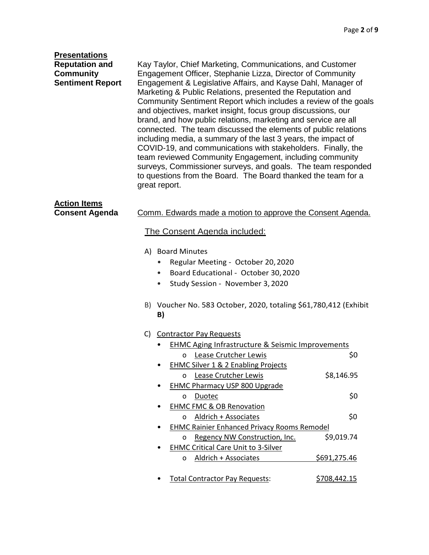| <b>Presentations</b>    |                                                                                                                                                                                                                                                                                                                                                                                                                                                                                                                                                                                                                                                                                                                                                 |  |  |  |
|-------------------------|-------------------------------------------------------------------------------------------------------------------------------------------------------------------------------------------------------------------------------------------------------------------------------------------------------------------------------------------------------------------------------------------------------------------------------------------------------------------------------------------------------------------------------------------------------------------------------------------------------------------------------------------------------------------------------------------------------------------------------------------------|--|--|--|
| <b>Reputation and</b>   | Kay Taylor, Chief Marketing, Communications, and Customer                                                                                                                                                                                                                                                                                                                                                                                                                                                                                                                                                                                                                                                                                       |  |  |  |
| <b>Community</b>        | Engagement Officer, Stephanie Lizza, Director of Community                                                                                                                                                                                                                                                                                                                                                                                                                                                                                                                                                                                                                                                                                      |  |  |  |
| <b>Sentiment Report</b> | Engagement & Legislative Affairs, and Kayse Dahl, Manager of<br>Marketing & Public Relations, presented the Reputation and<br>Community Sentiment Report which includes a review of the goals<br>and objectives, market insight, focus group discussions, our<br>brand, and how public relations, marketing and service are all<br>connected. The team discussed the elements of public relations<br>including media, a summary of the last 3 years, the impact of<br>COVID-19, and communications with stakeholders. Finally, the<br>team reviewed Community Engagement, including community<br>surveys, Commissioner surveys, and goals. The team responded<br>to questions from the Board. The Board thanked the team for a<br>great report. |  |  |  |
| <b>Action Items</b>     |                                                                                                                                                                                                                                                                                                                                                                                                                                                                                                                                                                                                                                                                                                                                                 |  |  |  |
| <b>Consent Agenda</b>   | Comm. Edwards made a motion to approve the Consent Agenda.                                                                                                                                                                                                                                                                                                                                                                                                                                                                                                                                                                                                                                                                                      |  |  |  |
|                         |                                                                                                                                                                                                                                                                                                                                                                                                                                                                                                                                                                                                                                                                                                                                                 |  |  |  |
|                         | <u>The Consent Agenda included:</u>                                                                                                                                                                                                                                                                                                                                                                                                                                                                                                                                                                                                                                                                                                             |  |  |  |
|                         | A) Board Minutes                                                                                                                                                                                                                                                                                                                                                                                                                                                                                                                                                                                                                                                                                                                                |  |  |  |
|                         | Regular Meeting - October 20, 2020<br>٠                                                                                                                                                                                                                                                                                                                                                                                                                                                                                                                                                                                                                                                                                                         |  |  |  |
|                         | Board Educational - October 30, 2020                                                                                                                                                                                                                                                                                                                                                                                                                                                                                                                                                                                                                                                                                                            |  |  |  |
|                         | Study Session - November 3, 2020                                                                                                                                                                                                                                                                                                                                                                                                                                                                                                                                                                                                                                                                                                                |  |  |  |
|                         | B) Voucher No. 583 October, 2020, totaling \$61,780,412 (Exhibit<br>B)                                                                                                                                                                                                                                                                                                                                                                                                                                                                                                                                                                                                                                                                          |  |  |  |
|                         | C)<br><b>Contractor Pay Requests</b>                                                                                                                                                                                                                                                                                                                                                                                                                                                                                                                                                                                                                                                                                                            |  |  |  |
|                         | <b>EHMC Aging Infrastructure &amp; Seismic Improvements</b>                                                                                                                                                                                                                                                                                                                                                                                                                                                                                                                                                                                                                                                                                     |  |  |  |
|                         | Lease Crutcher Lewis<br>\$0<br>0                                                                                                                                                                                                                                                                                                                                                                                                                                                                                                                                                                                                                                                                                                                |  |  |  |
|                         | <b>EHMC Silver 1 &amp; 2 Enabling Projects</b>                                                                                                                                                                                                                                                                                                                                                                                                                                                                                                                                                                                                                                                                                                  |  |  |  |
|                         | Lease Crutcher Lewis<br>\$8,146.95<br>0                                                                                                                                                                                                                                                                                                                                                                                                                                                                                                                                                                                                                                                                                                         |  |  |  |
|                         | <b>EHMC Pharmacy USP 800 Upgrade</b>                                                                                                                                                                                                                                                                                                                                                                                                                                                                                                                                                                                                                                                                                                            |  |  |  |
|                         | \$0<br>Duotec<br>o                                                                                                                                                                                                                                                                                                                                                                                                                                                                                                                                                                                                                                                                                                                              |  |  |  |
|                         | <b>EHMC FMC &amp; OB Renovation</b>                                                                                                                                                                                                                                                                                                                                                                                                                                                                                                                                                                                                                                                                                                             |  |  |  |
|                         | \$0<br>Aldrich + Associates<br>0                                                                                                                                                                                                                                                                                                                                                                                                                                                                                                                                                                                                                                                                                                                |  |  |  |
|                         | <b>EHMC Rainier Enhanced Privacy Rooms Remodel</b><br>Regency NW Construction, Inc.<br>\$9,019.74<br>0                                                                                                                                                                                                                                                                                                                                                                                                                                                                                                                                                                                                                                          |  |  |  |
|                         | <b>EHMC Critical Care Unit to 3-Silver</b>                                                                                                                                                                                                                                                                                                                                                                                                                                                                                                                                                                                                                                                                                                      |  |  |  |
|                         | Aldrich + Associates<br>\$691,275.46<br>0                                                                                                                                                                                                                                                                                                                                                                                                                                                                                                                                                                                                                                                                                                       |  |  |  |
|                         |                                                                                                                                                                                                                                                                                                                                                                                                                                                                                                                                                                                                                                                                                                                                                 |  |  |  |

• Total Contractor Pay Requests: \$708,442.15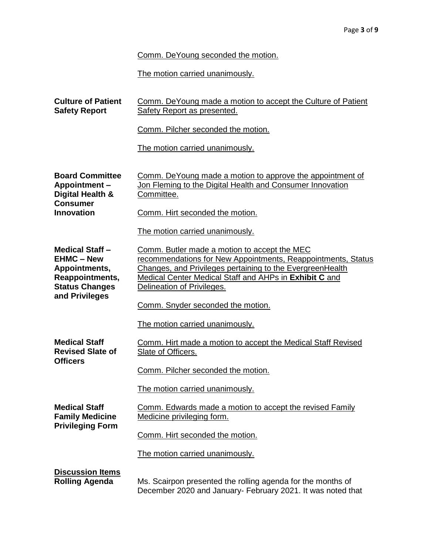Comm. DeYoung seconded the motion.

The motion carried unanimously.

| <b>Culture of Patient</b><br><b>Safety Report</b>                                                                          | Comm. De Young made a motion to accept the Culture of Patient<br>Safety Report as presented.                                                                                                                                                                      |
|----------------------------------------------------------------------------------------------------------------------------|-------------------------------------------------------------------------------------------------------------------------------------------------------------------------------------------------------------------------------------------------------------------|
|                                                                                                                            | Comm. Pilcher seconded the motion.                                                                                                                                                                                                                                |
|                                                                                                                            | The motion carried unanimously.                                                                                                                                                                                                                                   |
| <b>Board Committee</b><br><b>Appointment -</b><br>Digital Health &<br><b>Consumer</b>                                      | Comm. DeYoung made a motion to approve the appointment of<br>Jon Fleming to the Digital Health and Consumer Innovation<br>Committee.                                                                                                                              |
| <b>Innovation</b>                                                                                                          | Comm. Hirt seconded the motion.                                                                                                                                                                                                                                   |
|                                                                                                                            | The motion carried unanimously.                                                                                                                                                                                                                                   |
| <b>Medical Staff -</b><br><b>EHMC - New</b><br>Appointments,<br>Reappointments,<br><b>Status Changes</b><br>and Privileges | Comm. Butler made a motion to accept the MEC<br>recommendations for New Appointments, Reappointments, Status<br>Changes, and Privileges pertaining to the EvergreenHealth<br>Medical Center Medical Staff and AHPs in Exhibit C and<br>Delineation of Privileges. |
|                                                                                                                            | Comm. Snyder seconded the motion.                                                                                                                                                                                                                                 |
|                                                                                                                            | The motion carried unanimously.                                                                                                                                                                                                                                   |
| <b>Medical Staff</b><br><b>Revised Slate of</b><br><b>Officers</b>                                                         | Comm. Hirt made a motion to accept the Medical Staff Revised<br>Slate of Officers.                                                                                                                                                                                |
|                                                                                                                            | Comm. Pilcher seconded the motion.                                                                                                                                                                                                                                |
|                                                                                                                            | The motion carried unanimously.                                                                                                                                                                                                                                   |
| <b>Medical Staff</b><br><b>Family Medicine</b><br><b>Privileging Form</b>                                                  | Comm. Edwards made a motion to accept the revised Family<br>Medicine privileging form.                                                                                                                                                                            |
|                                                                                                                            | Comm. Hirt seconded the motion.                                                                                                                                                                                                                                   |
|                                                                                                                            | The motion carried unanimously.                                                                                                                                                                                                                                   |
| <b>Discussion Items</b><br><b>Rolling Agenda</b>                                                                           | Ms. Scairpon presented the rolling agenda for the months of<br>December 2020 and January- February 2021. It was noted that                                                                                                                                        |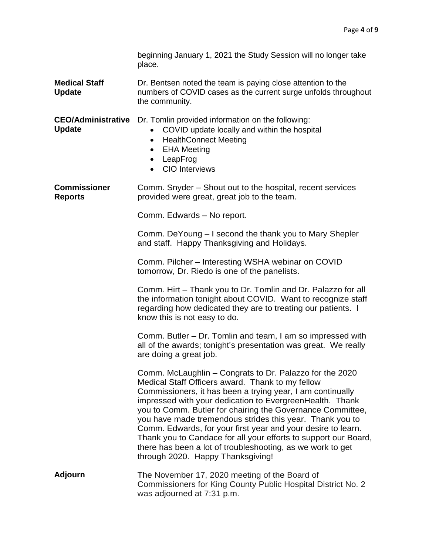|                                            | beginning January 1, 2021 the Study Session will no longer take<br>place.                                                                                                                                                                                                                                                                                                                                                                                                                                                                                                                             |
|--------------------------------------------|-------------------------------------------------------------------------------------------------------------------------------------------------------------------------------------------------------------------------------------------------------------------------------------------------------------------------------------------------------------------------------------------------------------------------------------------------------------------------------------------------------------------------------------------------------------------------------------------------------|
| <b>Medical Staff</b><br><b>Update</b>      | Dr. Bentsen noted the team is paying close attention to the<br>numbers of COVID cases as the current surge unfolds throughout<br>the community.                                                                                                                                                                                                                                                                                                                                                                                                                                                       |
| <b>CEO/Administrative</b><br><b>Update</b> | Dr. Tomlin provided information on the following:<br>COVID update locally and within the hospital<br><b>HealthConnect Meeting</b><br>$\bullet$<br><b>EHA Meeting</b><br>$\bullet$<br>LeapFrog<br>$\bullet$<br><b>CIO</b> Interviews                                                                                                                                                                                                                                                                                                                                                                   |
| <b>Commissioner</b><br><b>Reports</b>      | Comm. Snyder – Shout out to the hospital, recent services<br>provided were great, great job to the team.                                                                                                                                                                                                                                                                                                                                                                                                                                                                                              |
|                                            | Comm. Edwards - No report.                                                                                                                                                                                                                                                                                                                                                                                                                                                                                                                                                                            |
|                                            | Comm. DeYoung – I second the thank you to Mary Shepler<br>and staff. Happy Thanksgiving and Holidays.                                                                                                                                                                                                                                                                                                                                                                                                                                                                                                 |
|                                            | Comm. Pilcher - Interesting WSHA webinar on COVID<br>tomorrow, Dr. Riedo is one of the panelists.                                                                                                                                                                                                                                                                                                                                                                                                                                                                                                     |
|                                            | Comm. Hirt - Thank you to Dr. Tomlin and Dr. Palazzo for all<br>the information tonight about COVID. Want to recognize staff<br>regarding how dedicated they are to treating our patients. I<br>know this is not easy to do.                                                                                                                                                                                                                                                                                                                                                                          |
|                                            | Comm. Butler – Dr. Tomlin and team, I am so impressed with<br>all of the awards; tonight's presentation was great. We really<br>are doing a great job.                                                                                                                                                                                                                                                                                                                                                                                                                                                |
|                                            | Comm. McLaughlin - Congrats to Dr. Palazzo for the 2020<br>Medical Staff Officers award. Thank to my fellow<br>Commissioners, it has been a trying year, I am continually<br>impressed with your dedication to EvergreenHealth. Thank<br>you to Comm. Butler for chairing the Governance Committee,<br>you have made tremendous strides this year. Thank you to<br>Comm. Edwards, for your first year and your desire to learn.<br>Thank you to Candace for all your efforts to support our Board,<br>there has been a lot of troubleshooting, as we work to get<br>through 2020. Happy Thanksgiving! |
| <b>Adjourn</b>                             | The November 17, 2020 meeting of the Board of<br>Commissioners for King County Public Hospital District No. 2<br>was adjourned at 7:31 p.m.                                                                                                                                                                                                                                                                                                                                                                                                                                                           |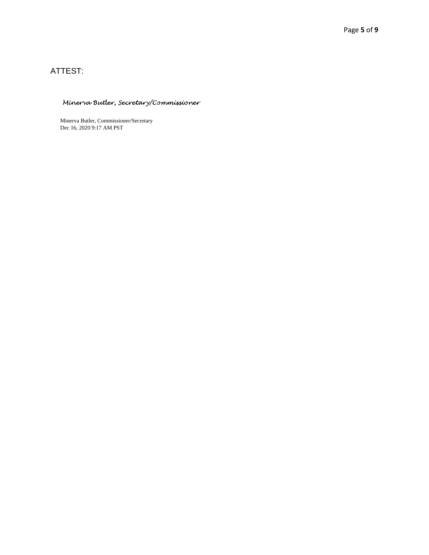## ATTEST:

## Minerva Butler, Secretary/Commissioner

Minerva Butler, Commissioner/Secretary Dec 16, 2020 9:17 AM PST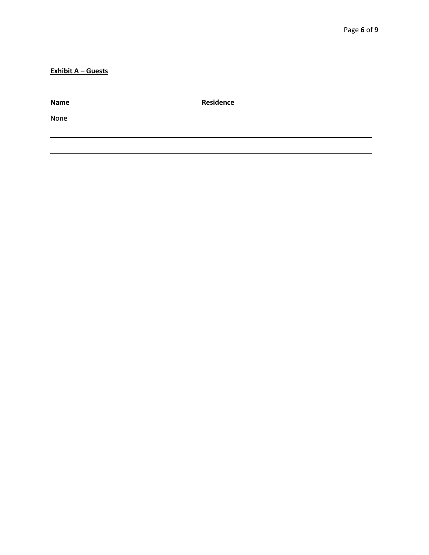**Exhibit A – Guests**

| <b>Name</b> | <b>Residence</b> |  |
|-------------|------------------|--|
| <b>None</b> |                  |  |
|             |                  |  |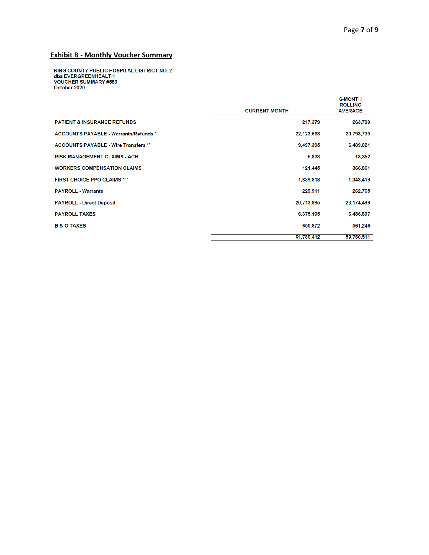## **Exhibit B - Monthly Voucher Summary**

KING COUNTY PUBLIC HOSPITAL DISTRICT NO. 2<br>dba EVERGREENHEALTH<br>VOUCHER SUMMARY #583<br>October 2020

|                                              | <b>CURRENT MONTH</b> | <b>6-MONTH</b><br><b>ROLLING</b><br><b>AVERAGE</b> |
|----------------------------------------------|----------------------|----------------------------------------------------|
| <b>PATIENT &amp; INSURANCE REFUNDS</b>       | 217,379              | 263,709                                            |
| <b>ACCOUNTS PAYABLE - Warrants/Refunds *</b> | 22,123,668           | 20,793,739                                         |
| <b>ACCOUNTS PAYABLE - Wire Transfers **</b>  | 9,497,395            | 6,489,021                                          |
| <b>RISK MANAGEMENT CLAIMS - ACH</b>          | 5,833                | 18,352                                             |
| <b>WORKERS COMPENSATION CLAIMS</b>           | 121,445              | 366,861                                            |
| <b>FIRST CHOICE PPO CLAIMS ***</b>           | 1,839,818            | 1,343,419                                          |
| <b>PAYROLL - Warrants</b>                    | 229,911              | 262,765                                            |
| <b>PAYROLL - Direct Deposit</b>              | 20,713,895           | 23, 174, 499                                       |
| <b>PAYROLL TAXES</b>                         | 6,375,195            | 6,486,897                                          |
| <b>B &amp; O TAXES</b>                       | 655,872              | 561,246                                            |
|                                              | 61.780.412           | 59.760,511                                         |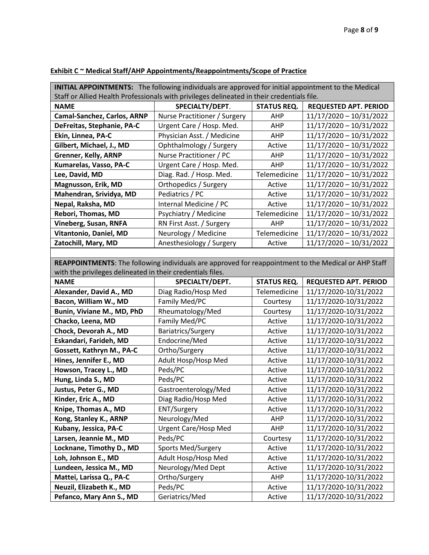| <b>INITIAL APPOINTMENTS:</b> The following individuals are approved for initial appointment to the Medical |                              |                    |                              |  |
|------------------------------------------------------------------------------------------------------------|------------------------------|--------------------|------------------------------|--|
| Staff or Allied Health Professionals with privileges delineated in their credentials file.                 |                              |                    |                              |  |
| <b>NAME</b>                                                                                                | SPECIALTY/DEPT.              | <b>STATUS REQ.</b> | <b>REQUESTED APT. PERIOD</b> |  |
| Camal-Sanchez, Carlos, ARNP                                                                                | Nurse Practitioner / Surgery | AHP                | 11/17/2020 - 10/31/2022      |  |
| DeFreitas, Stephanie, PA-C                                                                                 | Urgent Care / Hosp. Med.     | AHP                | 11/17/2020 - 10/31/2022      |  |
| Ekin, Linnea, PA-C                                                                                         | Physician Asst. / Medicine   | AHP                | 11/17/2020 - 10/31/2022      |  |
| Gilbert, Michael, J., MD                                                                                   | Ophthalmology / Surgery      | Active             | 11/17/2020 - 10/31/2022      |  |
| Grenner, Kelly, ARNP                                                                                       | Nurse Practitioner / PC      | AHP                | 11/17/2020 - 10/31/2022      |  |
| Kumarelas, Vasso, PA-C                                                                                     | Urgent Care / Hosp. Med.     | AHP                | 11/17/2020 - 10/31/2022      |  |
| Lee, David, MD                                                                                             | Diag. Rad. / Hosp. Med.      | Telemedicine       | 11/17/2020 - 10/31/2022      |  |
| Magnusson, Erik, MD                                                                                        | Orthopedics / Surgery        | Active             | 11/17/2020 - 10/31/2022      |  |
| Mahendran, Srividya, MD                                                                                    | Pediatrics / PC              | Active             | 11/17/2020 - 10/31/2022      |  |
| Nepal, Raksha, MD                                                                                          | Internal Medicine / PC       | Active             | 11/17/2020 - 10/31/2022      |  |
| Rebori, Thomas, MD                                                                                         | Psychiatry / Medicine        | Telemedicine       | 11/17/2020 - 10/31/2022      |  |
| <b>Vineberg, Susan, RNFA</b>                                                                               | RN First Asst. / Surgery     | AHP                | 11/17/2020 - 10/31/2022      |  |
| Vitantonio, Daniel, MD                                                                                     | Neurology / Medicine         | Telemedicine       | 11/17/2020 - 10/31/2022      |  |
| Zatochill, Mary, MD                                                                                        | Anesthesiology / Surgery     | Active             | 11/17/2020 - 10/31/2022      |  |
|                                                                                                            |                              |                    |                              |  |
| REAPPOINTMENTS: The following individuals are approved for reappointment to the Medical or AHP Staff       |                              |                    |                              |  |
| with the privileges delineated in their credentials files.                                                 |                              |                    |                              |  |
| <b>NAME</b>                                                                                                | SPECIALTY/DEPT.              | <b>STATUS REQ.</b> | <b>REQUESTED APT. PERIOD</b> |  |
| Alexander, David A., MD                                                                                    | Diag Radio/Hosp Med          | Telemedicine       | 11/17/2020-10/31/2022        |  |
| Bacon, William W., MD                                                                                      | Family Med/PC                | Courtesy           | 11/17/2020-10/31/2022        |  |
| Bunin, Viviane M., MD, PhD                                                                                 | Rheumatology/Med             | Courtesy           | 11/17/2020-10/31/2022        |  |
| Chacko, Leena, MD                                                                                          | Family Med/PC                | Active             | 11/17/2020-10/31/2022        |  |
| Chock, Devorah A., MD                                                                                      | Bariatrics/Surgery           | Active             | 11/17/2020-10/31/2022        |  |
| Eskandari, Farideh, MD                                                                                     | Endocrine/Med                | Active             | 11/17/2020-10/31/2022        |  |
| Gossett, Kathryn M., PA-C                                                                                  | Ortho/Surgery                | Active             | 11/17/2020-10/31/2022        |  |
| Hines, Jennifer E., MD                                                                                     | Adult Hosp/Hosp Med          | Active             | 11/17/2020-10/31/2022        |  |
| Howson, Tracey L., MD                                                                                      | Peds/PC                      | Active             | 11/17/2020-10/31/2022        |  |
| Hung, Linda S., MD                                                                                         | Peds/PC                      | Active             | 11/17/2020-10/31/2022        |  |
| Justus, Peter G., MD                                                                                       | Gastroenterology/Med         | Active             | 11/17/2020-10/31/2022        |  |
| Kinder, Eric A., MD                                                                                        | Diag Radio/Hosp Med          | Active             | 11/17/2020-10/31/2022        |  |
| Knipe, Thomas A., MD                                                                                       | ENT/Surgery                  | Active             | 11/17/2020-10/31/2022        |  |
| Kong, Stanley K., ARNP                                                                                     | Neurology/Med                | AHP                | 11/17/2020-10/31/2022        |  |
| Kubany, Jessica, PA-C                                                                                      | <b>Urgent Care/Hosp Med</b>  | AHP                | 11/17/2020-10/31/2022        |  |
| Larsen, Jeannie M., MD                                                                                     | Peds/PC                      | Courtesy           | 11/17/2020-10/31/2022        |  |
| Locknane, Timothy D., MD                                                                                   | <b>Sports Med/Surgery</b>    | Active             | 11/17/2020-10/31/2022        |  |
| Loh, Johnson E., MD                                                                                        | Adult Hosp/Hosp Med          | Active             | 11/17/2020-10/31/2022        |  |
| Lundeen, Jessica M., MD                                                                                    | Neurology/Med Dept           | Active             | 11/17/2020-10/31/2022        |  |
| Mattei, Larissa Q., PA-C                                                                                   | Ortho/Surgery                | AHP                | 11/17/2020-10/31/2022        |  |
| Neuzil, Elizabeth K., MD                                                                                   | Peds/PC                      | Active             | 11/17/2020-10/31/2022        |  |
| Pefanco, Mary Ann S., MD                                                                                   | Geriatrics/Med               | Active             | 11/17/2020-10/31/2022        |  |

## **Exhibit C ~ Medical Staff/AHP Appointments/Reappointments/Scope of Practice**